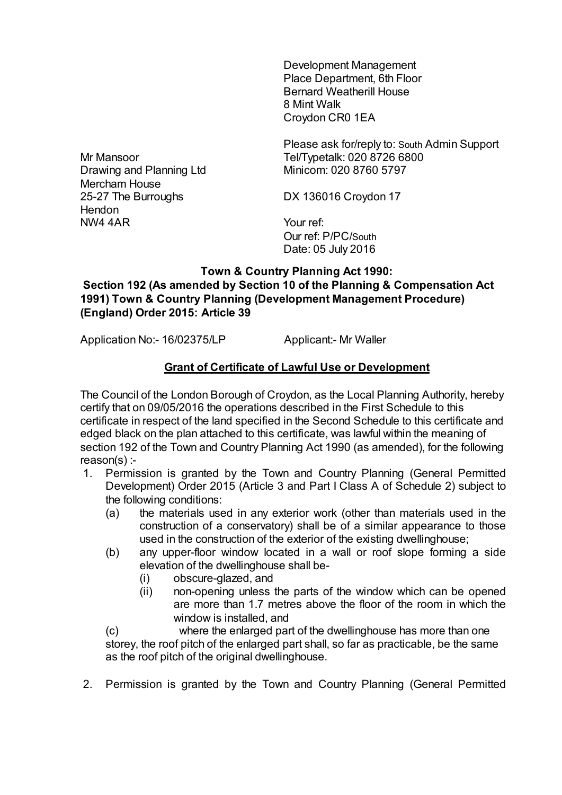Development Management Place Department, 6th Floor Bernard Weatherill House 8 Mint Walk Croydon CR0 1EA

Please ask for/reply to: South Admin Support Tel/Typetalk: 020 8726 6800 Minicom: 020 8760 5797

DX 136016 Croydon 17

Your ref: Our ref: P/PC/South Date: 05 July 2016

## **Town & Country Planning Act 1990: Section 192 (As amended by Section 10 of the Planning & Compensation Act 1991) Town & Country Planning (Development Management Procedure) (England) Order 2015: Article 39**

Application No:- 16/02375/LP Applicant:- Mr Waller

## **Grant of Certificate of Lawful Use or Development**

The Council of the London Borough of Croydon, as the Local Planning Authority, hereby certify that on 09/05/2016 the operations described in the First Schedule to this certificate in respect of the land specified in the Second Schedule to this certificate and edged black on the plan attached to this certificate, was lawful within the meaning of section 192 of the Town and Country Planning Act 1990 (as amended), for the following reason(s) :-

- 1. Permission is granted by the Town and Country Planning (General Permitted Development) Order 2015 (Article 3 and Part I Class A of Schedule 2) subject to the following conditions:
	- (a) the materials used in any exterior work (other than materials used in the construction of a conservatory) shall be of a similar appearance to those used in the construction of the exterior of the existing dwellinghouse;
	- (b) any upper-floor window located in a wall or roof slope forming a side elevation of the dwellinghouse shall be-
		- (i) obscure-glazed, and
		- (ii) non-opening unless the parts of the window which can be opened are more than 1.7 metres above the floor of the room in which the window is installed, and

(c) where the enlarged part of the dwellinghouse has more than one storey, the roof pitch of the enlarged part shall, so far as practicable, be the same as the roof pitch of the original dwellinghouse.

2. Permission is granted by the Town and Country Planning (General Permitted

Mr Mansoor Drawing and Planning Ltd Mercham House 25-27 The Burroughs **Hendon** NW4 4AR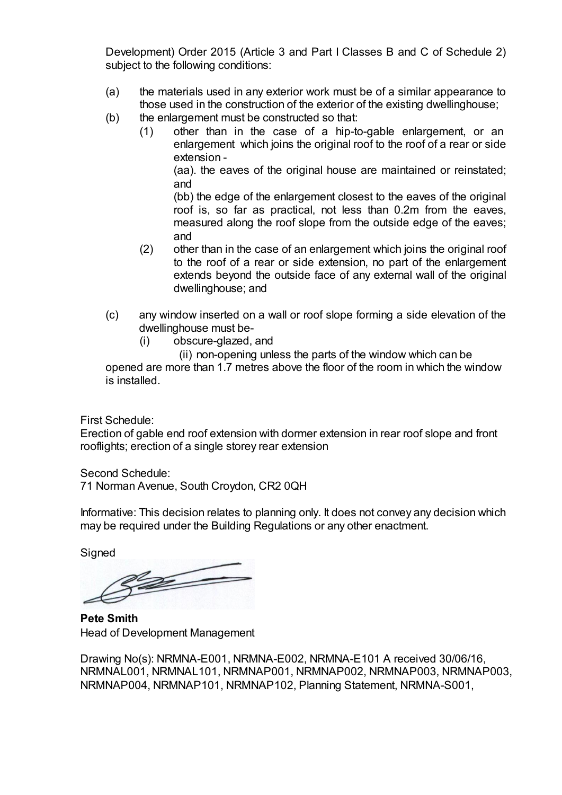Development) Order 2015 (Article 3 and Part I Classes B and C of Schedule 2) subject to the following conditions:

- (a) the materials used in any exterior work must be of a similar appearance to those used in the construction of the exterior of the existing dwellinghouse;
- (b) the enlargement must be constructed so that:
	- (1) other than in the case of a hip-to-gable enlargement, or an enlargement which joins the original roof to the roof of a rear or side extension -

(aa). the eaves of the original house are maintained or reinstated; and

(bb) the edge of the enlargement closest to the eaves of the original roof is, so far as practical, not less than 0.2m from the eaves, measured along the roof slope from the outside edge of the eaves; and

- (2) other than in the case of an enlargement which joins the original roof to the roof of a rear or side extension, no part of the enlargement extends beyond the outside face of any external wall of the original dwellinghouse; and
- (c) any window inserted on a wall or roof slope forming a side elevation of the dwellinghouse must be-
	- (i) obscure-glazed, and

 (ii) non-opening unless the parts of the window which can be opened are more than 1.7 metres above the floor of the room in which the window is installed.

First Schedule:

Erection of gable end roof extension with dormer extension in rear roof slope and front rooflights; erection of a single storey rear extension

Second Schedule:

71 Norman Avenue, South Croydon, CR2 0QH

Informative: This decision relates to planning only. It does not convey any decision which may be required under the Building Regulations or any other enactment.

**Signed** 

 $\mathscr{D}$ 

**Pete Smith** Head of Development Management

Drawing No(s): NRMNA-E001, NRMNA-E002, NRMNA-E101 A received 30/06/16, NRMNAL001, NRMNAL101, NRMNAP001, NRMNAP002, NRMNAP003, NRMNAP003, NRMNAP004, NRMNAP101, NRMNAP102, Planning Statement, NRMNA-S001,